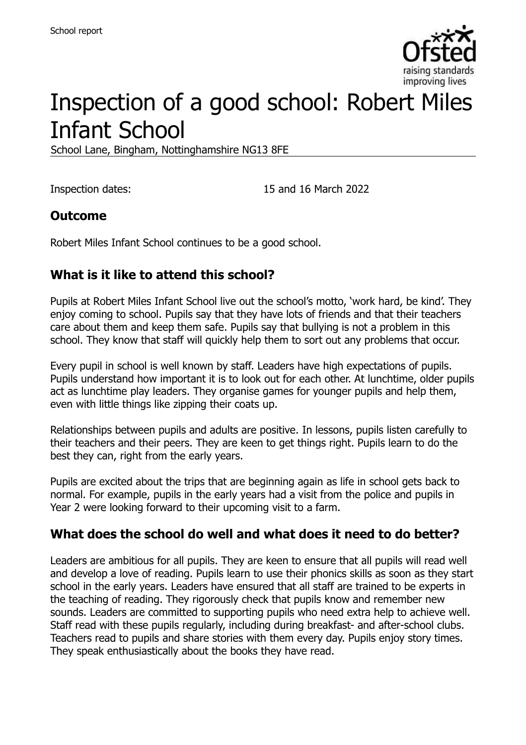

# Inspection of a good school: Robert Miles Infant School

School Lane, Bingham, Nottinghamshire NG13 8FE

Inspection dates: 15 and 16 March 2022

#### **Outcome**

Robert Miles Infant School continues to be a good school.

#### **What is it like to attend this school?**

Pupils at Robert Miles Infant School live out the school's motto, 'work hard, be kind'. They enjoy coming to school. Pupils say that they have lots of friends and that their teachers care about them and keep them safe. Pupils say that bullying is not a problem in this school. They know that staff will quickly help them to sort out any problems that occur.

Every pupil in school is well known by staff. Leaders have high expectations of pupils. Pupils understand how important it is to look out for each other. At lunchtime, older pupils act as lunchtime play leaders. They organise games for younger pupils and help them, even with little things like zipping their coats up.

Relationships between pupils and adults are positive. In lessons, pupils listen carefully to their teachers and their peers. They are keen to get things right. Pupils learn to do the best they can, right from the early years.

Pupils are excited about the trips that are beginning again as life in school gets back to normal. For example, pupils in the early years had a visit from the police and pupils in Year 2 were looking forward to their upcoming visit to a farm.

#### **What does the school do well and what does it need to do better?**

Leaders are ambitious for all pupils. They are keen to ensure that all pupils will read well and develop a love of reading. Pupils learn to use their phonics skills as soon as they start school in the early years. Leaders have ensured that all staff are trained to be experts in the teaching of reading. They rigorously check that pupils know and remember new sounds. Leaders are committed to supporting pupils who need extra help to achieve well. Staff read with these pupils regularly, including during breakfast- and after-school clubs. Teachers read to pupils and share stories with them every day. Pupils enjoy story times. They speak enthusiastically about the books they have read.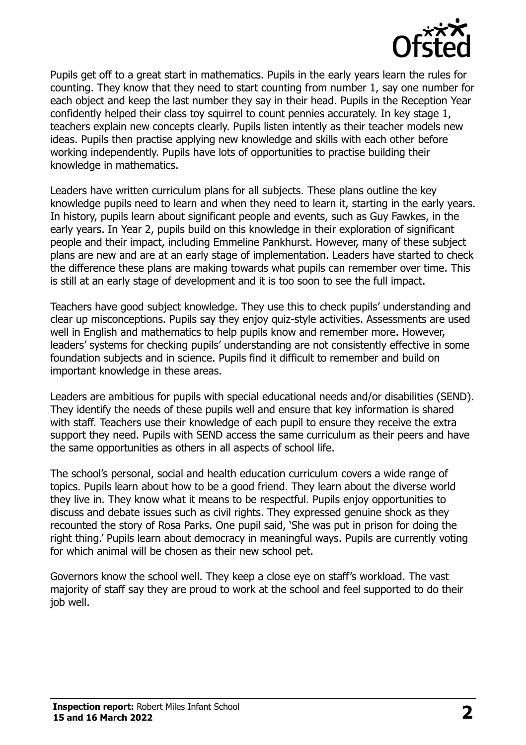

Pupils get off to a great start in mathematics. Pupils in the early years learn the rules for counting. They know that they need to start counting from number 1, say one number for each object and keep the last number they say in their head. Pupils in the Reception Year confidently helped their class toy squirrel to count pennies accurately. In key stage 1, teachers explain new concepts clearly. Pupils listen intently as their teacher models new ideas. Pupils then practise applying new knowledge and skills with each other before working independently. Pupils have lots of opportunities to practise building their knowledge in mathematics.

Leaders have written curriculum plans for all subjects. These plans outline the key knowledge pupils need to learn and when they need to learn it, starting in the early years. In history, pupils learn about significant people and events, such as Guy Fawkes, in the early years. In Year 2, pupils build on this knowledge in their exploration of significant people and their impact, including Emmeline Pankhurst. However, many of these subject plans are new and are at an early stage of implementation. Leaders have started to check the difference these plans are making towards what pupils can remember over time. This is still at an early stage of development and it is too soon to see the full impact.

Teachers have good subject knowledge. They use this to check pupils' understanding and clear up misconceptions. Pupils say they enjoy quiz-style activities. Assessments are used well in English and mathematics to help pupils know and remember more. However, leaders' systems for checking pupils' understanding are not consistently effective in some foundation subjects and in science. Pupils find it difficult to remember and build on important knowledge in these areas.

Leaders are ambitious for pupils with special educational needs and/or disabilities (SEND). They identify the needs of these pupils well and ensure that key information is shared with staff. Teachers use their knowledge of each pupil to ensure they receive the extra support they need. Pupils with SEND access the same curriculum as their peers and have the same opportunities as others in all aspects of school life.

The school's personal, social and health education curriculum covers a wide range of topics. Pupils learn about how to be a good friend. They learn about the diverse world they live in. They know what it means to be respectful. Pupils enjoy opportunities to discuss and debate issues such as civil rights. They expressed genuine shock as they recounted the story of Rosa Parks. One pupil said, 'She was put in prison for doing the right thing.' Pupils learn about democracy in meaningful ways. Pupils are currently voting for which animal will be chosen as their new school pet.

Governors know the school well. They keep a close eye on staff's workload. The vast majority of staff say they are proud to work at the school and feel supported to do their job well.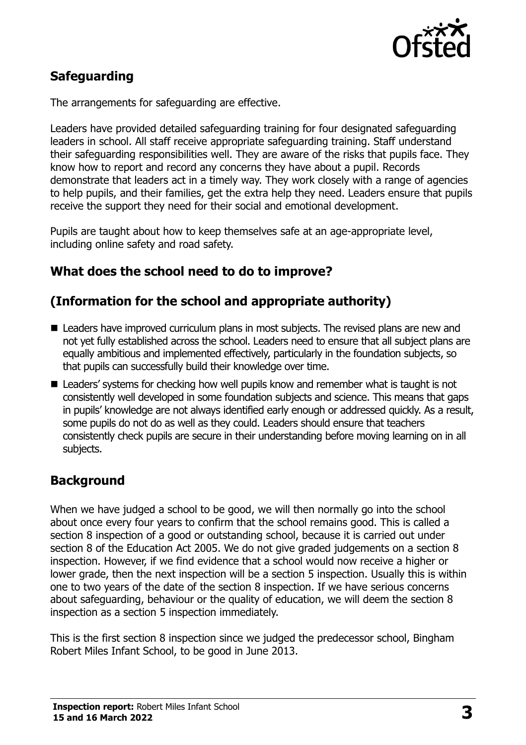

# **Safeguarding**

The arrangements for safeguarding are effective.

Leaders have provided detailed safeguarding training for four designated safeguarding leaders in school. All staff receive appropriate safeguarding training. Staff understand their safeguarding responsibilities well. They are aware of the risks that pupils face. They know how to report and record any concerns they have about a pupil. Records demonstrate that leaders act in a timely way. They work closely with a range of agencies to help pupils, and their families, get the extra help they need. Leaders ensure that pupils receive the support they need for their social and emotional development.

Pupils are taught about how to keep themselves safe at an age-appropriate level, including online safety and road safety.

#### **What does the school need to do to improve?**

#### **(Information for the school and appropriate authority)**

- Leaders have improved curriculum plans in most subiects. The revised plans are new and not yet fully established across the school. Leaders need to ensure that all subject plans are equally ambitious and implemented effectively, particularly in the foundation subjects, so that pupils can successfully build their knowledge over time.
- Leaders' systems for checking how well pupils know and remember what is taught is not consistently well developed in some foundation subjects and science. This means that gaps in pupils' knowledge are not always identified early enough or addressed quickly. As a result, some pupils do not do as well as they could. Leaders should ensure that teachers consistently check pupils are secure in their understanding before moving learning on in all subjects.

# **Background**

When we have judged a school to be good, we will then normally go into the school about once every four years to confirm that the school remains good. This is called a section 8 inspection of a good or outstanding school, because it is carried out under section 8 of the Education Act 2005. We do not give graded judgements on a section 8 inspection. However, if we find evidence that a school would now receive a higher or lower grade, then the next inspection will be a section 5 inspection. Usually this is within one to two years of the date of the section 8 inspection. If we have serious concerns about safeguarding, behaviour or the quality of education, we will deem the section 8 inspection as a section 5 inspection immediately.

This is the first section 8 inspection since we judged the predecessor school, Bingham Robert Miles Infant School, to be good in June 2013.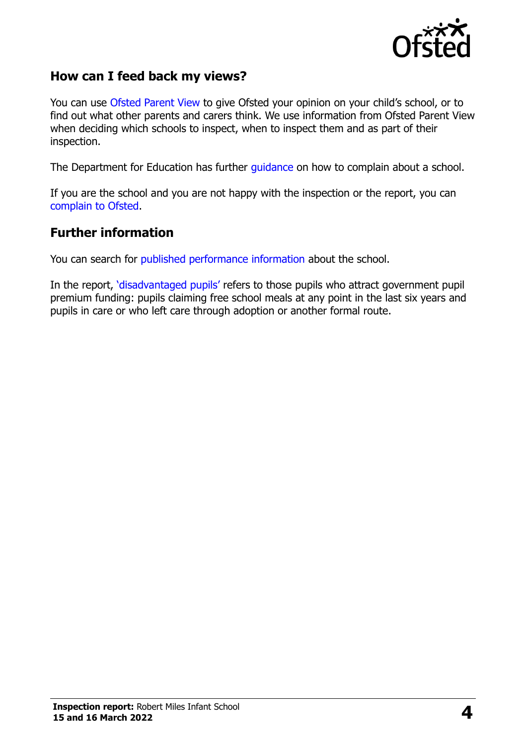

#### **How can I feed back my views?**

You can use [Ofsted Parent View](https://parentview.ofsted.gov.uk/) to give Ofsted your opinion on your child's school, or to find out what other parents and carers think. We use information from Ofsted Parent View when deciding which schools to inspect, when to inspect them and as part of their inspection.

The Department for Education has further [guidance](http://www.gov.uk/complain-about-school) on how to complain about a school.

If you are the school and you are not happy with the inspection or the report, you can [complain to Ofsted.](https://www.gov.uk/complain-ofsted-report)

#### **Further information**

You can search for [published performance information](http://www.compare-school-performance.service.gov.uk/) about the school.

In the report, '[disadvantaged pupils](http://www.gov.uk/guidance/pupil-premium-information-for-schools-and-alternative-provision-settings)' refers to those pupils who attract government pupil premium funding: pupils claiming free school meals at any point in the last six years and pupils in care or who left care through adoption or another formal route.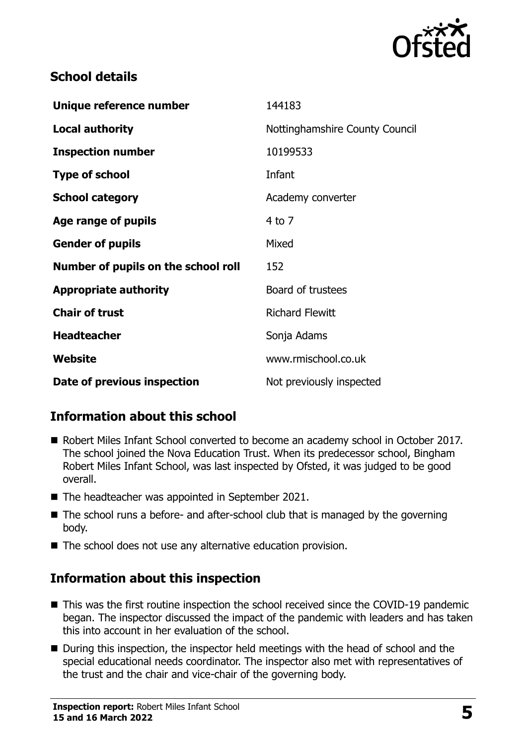

### **School details**

| Unique reference number             | 144183                         |
|-------------------------------------|--------------------------------|
| <b>Local authority</b>              | Nottinghamshire County Council |
| <b>Inspection number</b>            | 10199533                       |
| <b>Type of school</b>               | Infant                         |
| <b>School category</b>              | Academy converter              |
| Age range of pupils                 | $4$ to $7$                     |
| <b>Gender of pupils</b>             | Mixed                          |
| Number of pupils on the school roll | 152                            |
| <b>Appropriate authority</b>        | Board of trustees              |
| <b>Chair of trust</b>               | <b>Richard Flewitt</b>         |
| <b>Headteacher</b>                  | Sonja Adams                    |
| Website                             | www.rmischool.co.uk            |
| Date of previous inspection         | Not previously inspected       |

# **Information about this school**

- Robert Miles Infant School converted to become an academy school in October 2017. The school joined the Nova Education Trust. When its predecessor school, Bingham Robert Miles Infant School, was last inspected by Ofsted, it was judged to be good overall.
- The headteacher was appointed in September 2021.
- The school runs a before- and after-school club that is managed by the governing body.
- The school does not use any alternative education provision.

# **Information about this inspection**

- This was the first routine inspection the school received since the COVID-19 pandemic began. The inspector discussed the impact of the pandemic with leaders and has taken this into account in her evaluation of the school.
- During this inspection, the inspector held meetings with the head of school and the special educational needs coordinator. The inspector also met with representatives of the trust and the chair and vice-chair of the governing body.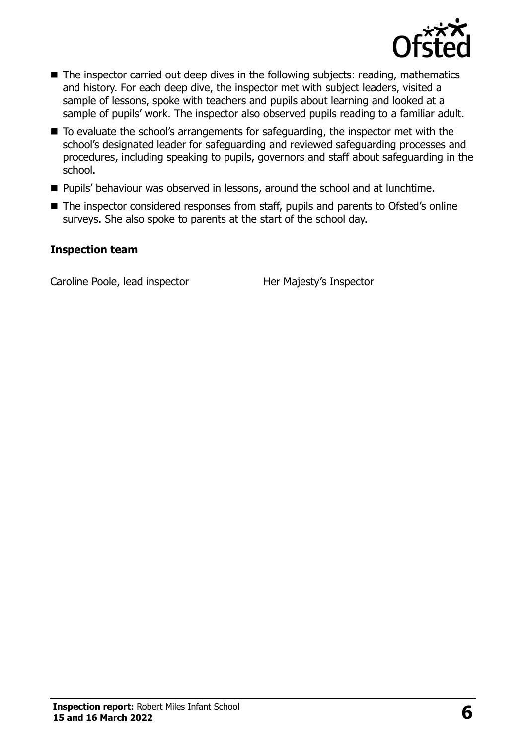

- The inspector carried out deep dives in the following subjects: reading, mathematics and history. For each deep dive, the inspector met with subject leaders, visited a sample of lessons, spoke with teachers and pupils about learning and looked at a sample of pupils' work. The inspector also observed pupils reading to a familiar adult.
- To evaluate the school's arrangements for safeguarding, the inspector met with the school's designated leader for safeguarding and reviewed safeguarding processes and procedures, including speaking to pupils, governors and staff about safeguarding in the school.
- **Pupils' behaviour was observed in lessons, around the school and at lunchtime.**
- The inspector considered responses from staff, pupils and parents to Ofsted's online surveys. She also spoke to parents at the start of the school day.

#### **Inspection team**

Caroline Poole, lead inspector **Her Majesty's Inspector**